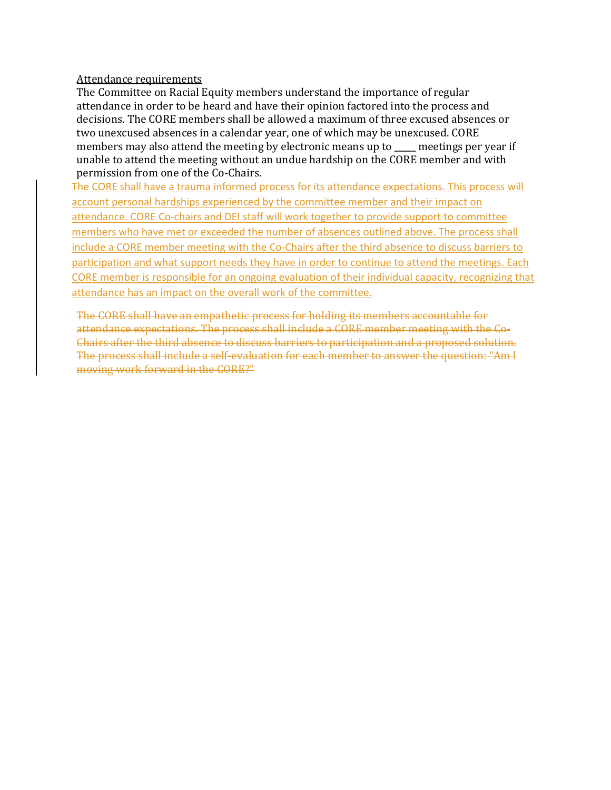#### Attendance requirements

The Committee on Racial Equity members understand the importance of regular attendance in order to be heard and have their opinion factored into the process and decisions. The CORE members shall be allowed a maximum of three excused absences or two unexcused absences in a calendar year, one of which may be unexcused. CORE members may also attend the meeting by electronic means up to **\_\_\_\_\_** meetings per year if unable to attend the meeting without an undue hardship on the CORE member and with permission from one of the Co-Chairs.

The CORE shall have a trauma informed process for its attendance expectations. This process will account personal hardships experienced by the committee member and their impact on attendance. CORE Co-chairs and DEI staff will work together to provide support to committee members who have met or exceeded the number of absences outlined above. The process shall include a CORE member meeting with the Co-Chairs after the third absence to discuss barriers to participation and what support needs they have in order to continue to attend the meetings. Each CORE member is responsible for an ongoing evaluation of their individual capacity, recognizing that attendance has an impact on the overall work of the committee.

The CORE shall have an empathetic process for holding its members accountable for attendance expectations. The process shall include a CORE member meeting with the Co-Chairs after the third absence to discuss barriers to participation and a proposed solution. The process shall include a self-evaluation for each member to answer the question: "Am I moving work forward in the CORE?"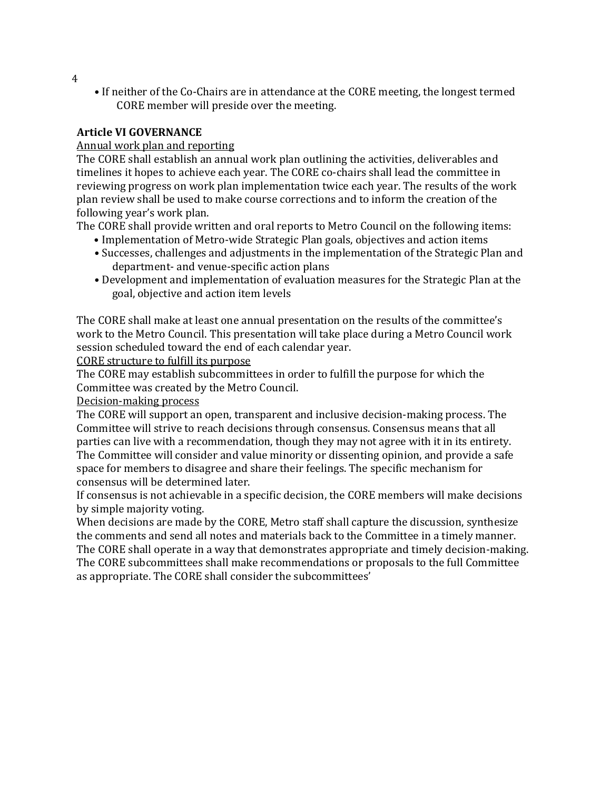• If neither of the Co-Chairs are in attendance at the CORE meeting, the longest termed CORE member will preside over the meeting.

## **Article VI GOVERNANCE**

## Annual work plan and reporting

The CORE shall establish an annual work plan outlining the activities, deliverables and timelines it hopes to achieve each year. The CORE co-chairs shall lead the committee in reviewing progress on work plan implementation twice each year. The results of the work plan review shall be used to make course corrections and to inform the creation of the following year's work plan.

The CORE shall provide written and oral reports to Metro Council on the following items:

- Implementation of Metro-wide Strategic Plan goals, objectives and action items
- Successes, challenges and adjustments in the implementation of the Strategic Plan and department- and venue-specific action plans
- Development and implementation of evaluation measures for the Strategic Plan at the goal, objective and action item levels

The CORE shall make at least one annual presentation on the results of the committee's work to the Metro Council. This presentation will take place during a Metro Council work session scheduled toward the end of each calendar year.

CORE structure to fulfill its purpose

The CORE may establish subcommittees in order to fulfill the purpose for which the Committee was created by the Metro Council.

Decision-making process

The CORE will support an open, transparent and inclusive decision-making process. The Committee will strive to reach decisions through consensus. Consensus means that all parties can live with a recommendation, though they may not agree with it in its entirety. The Committee will consider and value minority or dissenting opinion, and provide a safe space for members to disagree and share their feelings. The specific mechanism for consensus will be determined later.

If consensus is not achievable in a specific decision, the CORE members will make decisions by simple majority voting.

When decisions are made by the CORE, Metro staff shall capture the discussion, synthesize the comments and send all notes and materials back to the Committee in a timely manner. The CORE shall operate in a way that demonstrates appropriate and timely decision-making. The CORE subcommittees shall make recommendations or proposals to the full Committee as appropriate. The CORE shall consider the subcommittees'

4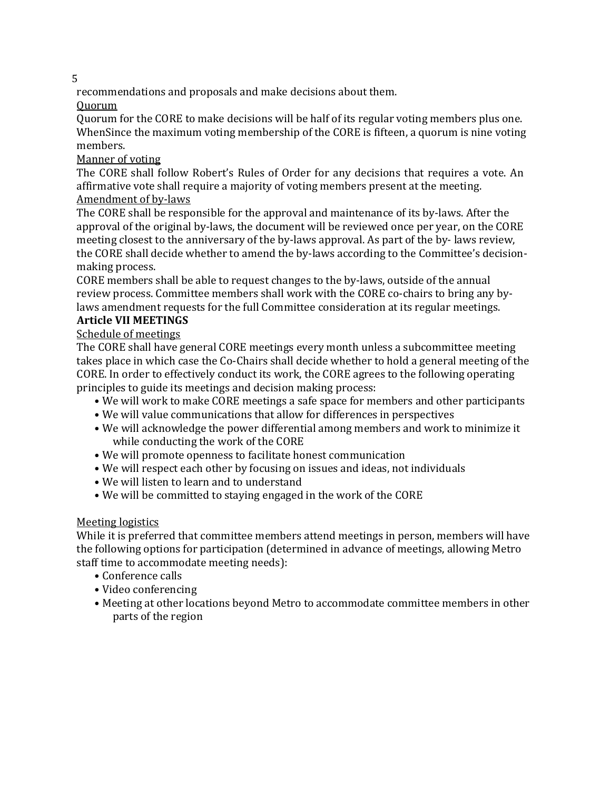5

recommendations and proposals and make decisions about them.

Quorum

Quorum for the CORE to make decisions will be half of its regular voting members plus one. WhenSince the maximum voting membership of the CORE is fifteen, a quorum is nine voting members.

Manner of voting

The CORE shall follow Robert's Rules of Order for any decisions that requires a vote. An affirmative vote shall require a majority of voting members present at the meeting. Amendment of by-laws

The CORE shall be responsible for the approval and maintenance of its by-laws. After the approval of the original by-laws, the document will be reviewed once per year, on the CORE meeting closest to the anniversary of the by-laws approval. As part of the by- laws review, the CORE shall decide whether to amend the by-laws according to the Committee's decisionmaking process.

CORE members shall be able to request changes to the by-laws, outside of the annual review process. Committee members shall work with the CORE co-chairs to bring any bylaws amendment requests for the full Committee consideration at its regular meetings.

# **Article VII MEETINGS**

Schedule of meetings

The CORE shall have general CORE meetings every month unless a subcommittee meeting takes place in which case the Co-Chairs shall decide whether to hold a general meeting of the CORE. In order to effectively conduct its work, the CORE agrees to the following operating principles to guide its meetings and decision making process:

- We will work to make CORE meetings a safe space for members and other participants
- We will value communications that allow for differences in perspectives
- We will acknowledge the power differential among members and work to minimize it while conducting the work of the CORE
- We will promote openness to facilitate honest communication
- We will respect each other by focusing on issues and ideas, not individuals
- We will listen to learn and to understand
- We will be committed to staying engaged in the work of the CORE

## Meeting logistics

While it is preferred that committee members attend meetings in person, members will have the following options for participation (determined in advance of meetings, allowing Metro staff time to accommodate meeting needs):

- Conference calls
- Video conferencing
- Meeting at other locations beyond Metro to accommodate committee members in other parts of the region